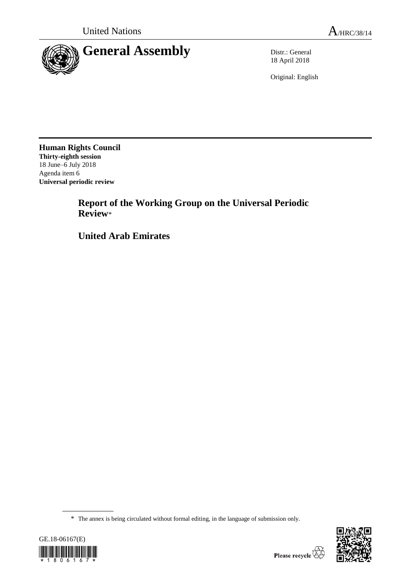

18 April 2018

Original: English

**Human Rights Council Thirty-eighth session** 18 June–6 July 2018 Agenda item 6 **Universal periodic review**

> **Report of the Working Group on the Universal Periodic Review**\*

**United Arab Emirates**

\* The annex is being circulated without formal editing, in the language of submission only.



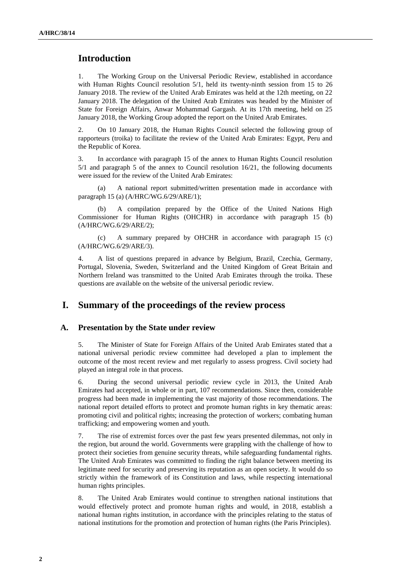# **Introduction**

1. The Working Group on the Universal Periodic Review, established in accordance with Human Rights Council resolution 5/1, held its twenty-ninth session from 15 to 26 January 2018. The review of the United Arab Emirates was held at the 12th meeting, on 22 January 2018. The delegation of the United Arab Emirates was headed by the Minister of State for Foreign Affairs, Anwar Mohammad Gargash. At its 17th meeting, held on 25 January 2018, the Working Group adopted the report on the United Arab Emirates.

2. On 10 January 2018, the Human Rights Council selected the following group of rapporteurs (troika) to facilitate the review of the United Arab Emirates: Egypt, Peru and the Republic of Korea.

3. In accordance with paragraph 15 of the annex to Human Rights Council resolution 5/1 and paragraph 5 of the annex to Council resolution 16/21, the following documents were issued for the review of the United Arab Emirates:

(a) A national report submitted/written presentation made in accordance with paragraph 15 (a) (A/HRC/WG.6/29/ARE/1);

A compilation prepared by the Office of the United Nations High Commissioner for Human Rights (OHCHR) in accordance with paragraph 15 (b) (A/HRC/WG.6/29/ARE/2);

(c) A summary prepared by OHCHR in accordance with paragraph 15 (c) (A/HRC/WG.6/29/ARE/3).

4. A list of questions prepared in advance by Belgium, Brazil, Czechia, Germany, Portugal, Slovenia, Sweden, Switzerland and the United Kingdom of Great Britain and Northern Ireland was transmitted to the United Arab Emirates through the troika. These questions are available on the website of the universal periodic review.

## **I. Summary of the proceedings of the review process**

#### **A. Presentation by the State under review**

5. The Minister of State for Foreign Affairs of the United Arab Emirates stated that a national universal periodic review committee had developed a plan to implement the outcome of the most recent review and met regularly to assess progress. Civil society had played an integral role in that process.

6. During the second universal periodic review cycle in 2013, the United Arab Emirates had accepted, in whole or in part, 107 recommendations. Since then, considerable progress had been made in implementing the vast majority of those recommendations. The national report detailed efforts to protect and promote human rights in key thematic areas: promoting civil and political rights; increasing the protection of workers; combating human trafficking; and empowering women and youth.

7. The rise of extremist forces over the past few years presented dilemmas, not only in the region, but around the world. Governments were grappling with the challenge of how to protect their societies from genuine security threats, while safeguarding fundamental rights. The United Arab Emirates was committed to finding the right balance between meeting its legitimate need for security and preserving its reputation as an open society. It would do so strictly within the framework of its Constitution and laws, while respecting international human rights principles.

8. The United Arab Emirates would continue to strengthen national institutions that would effectively protect and promote human rights and would, in 2018, establish a national human rights institution, in accordance with the principles relating to the status of national institutions for the promotion and protection of human rights (the Paris Principles).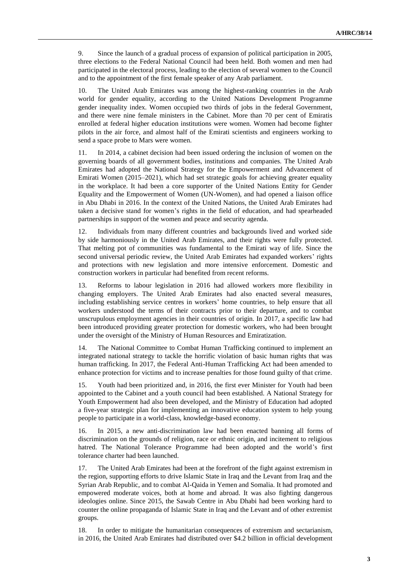9. Since the launch of a gradual process of expansion of political participation in 2005, three elections to the Federal National Council had been held. Both women and men had participated in the electoral process, leading to the election of several women to the Council and to the appointment of the first female speaker of any Arab parliament.

10. The United Arab Emirates was among the highest-ranking countries in the Arab world for gender equality, according to the United Nations Development Programme gender inequality index. Women occupied two thirds of jobs in the federal Government, and there were nine female ministers in the Cabinet. More than 70 per cent of Emiratis enrolled at federal higher education institutions were women. Women had become fighter pilots in the air force, and almost half of the Emirati scientists and engineers working to send a space probe to Mars were women.

11. In 2014, a cabinet decision had been issued ordering the inclusion of women on the governing boards of all government bodies, institutions and companies. The United Arab Emirates had adopted the National Strategy for the Empowerment and Advancement of Emirati Women (2015–2021), which had set strategic goals for achieving greater equality in the workplace. It had been a core supporter of the United Nations Entity for Gender Equality and the Empowerment of Women (UN-Women), and had opened a liaison office in Abu Dhabi in 2016. In the context of the United Nations, the United Arab Emirates had taken a decisive stand for women's rights in the field of education, and had spearheaded partnerships in support of the women and peace and security agenda.

12. Individuals from many different countries and backgrounds lived and worked side by side harmoniously in the United Arab Emirates, and their rights were fully protected. That melting pot of communities was fundamental to the Emirati way of life. Since the second universal periodic review, the United Arab Emirates had expanded workers' rights and protections with new legislation and more intensive enforcement. Domestic and construction workers in particular had benefited from recent reforms.

13. Reforms to labour legislation in 2016 had allowed workers more flexibility in changing employers. The United Arab Emirates had also enacted several measures, including establishing service centres in workers' home countries, to help ensure that all workers understood the terms of their contracts prior to their departure, and to combat unscrupulous employment agencies in their countries of origin. In 2017, a specific law had been introduced providing greater protection for domestic workers, who had been brought under the oversight of the Ministry of Human Resources and Emiratization.

14. The National Committee to Combat Human Trafficking continued to implement an integrated national strategy to tackle the horrific violation of basic human rights that was human trafficking. In 2017, the Federal Anti-Human Trafficking Act had been amended to enhance protection for victims and to increase penalties for those found guilty of that crime.

15. Youth had been prioritized and, in 2016, the first ever Minister for Youth had been appointed to the Cabinet and a youth council had been established. A National Strategy for Youth Empowerment had also been developed, and the Ministry of Education had adopted a five-year strategic plan for implementing an innovative education system to help young people to participate in a world-class, knowledge-based economy.

16. In 2015, a new anti-discrimination law had been enacted banning all forms of discrimination on the grounds of religion, race or ethnic origin, and incitement to religious hatred. The National Tolerance Programme had been adopted and the world's first tolerance charter had been launched.

17. The United Arab Emirates had been at the forefront of the fight against extremism in the region, supporting efforts to drive Islamic State in Iraq and the Levant from Iraq and the Syrian Arab Republic, and to combat Al-Qaida in Yemen and Somalia. It had promoted and empowered moderate voices, both at home and abroad. It was also fighting dangerous ideologies online. Since 2015, the Sawab Centre in Abu Dhabi had been working hard to counter the online propaganda of Islamic State in Iraq and the Levant and of other extremist groups.

18. In order to mitigate the humanitarian consequences of extremism and sectarianism, in 2016, the United Arab Emirates had distributed over \$4.2 billion in official development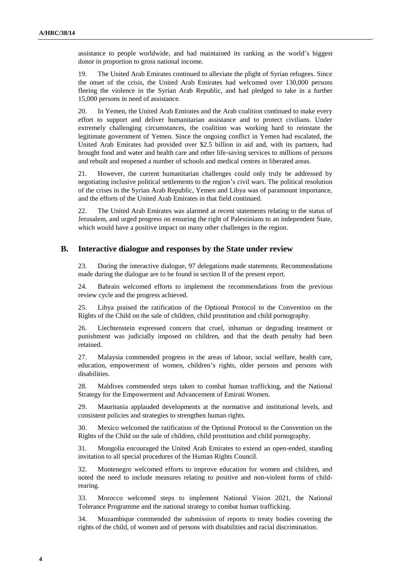assistance to people worldwide, and had maintained its ranking as the world's biggest donor in proportion to gross national income.

19. The United Arab Emirates continued to alleviate the plight of Syrian refugees. Since the onset of the crisis, the United Arab Emirates had welcomed over 130,000 persons fleeing the violence in the Syrian Arab Republic, and had pledged to take in a further 15,000 persons in need of assistance.

20. In Yemen, the United Arab Emirates and the Arab coalition continued to make every effort to support and deliver humanitarian assistance and to protect civilians. Under extremely challenging circumstances, the coalition was working hard to reinstate the legitimate government of Yemen. Since the ongoing conflict in Yemen had escalated, the United Arab Emirates had provided over \$2.5 billion in aid and, with its partners, had brought food and water and health care and other life-saving services to millions of persons and rebuilt and reopened a number of schools and medical centres in liberated areas.

21. However, the current humanitarian challenges could only truly be addressed by negotiating inclusive political settlements to the region's civil wars. The political resolution of the crises in the Syrian Arab Republic, Yemen and Libya was of paramount importance, and the efforts of the United Arab Emirates in that field continued.

22. The United Arab Emirates was alarmed at recent statements relating to the status of Jerusalem, and urged progress on ensuring the right of Palestinians to an independent State, which would have a positive impact on many other challenges in the region.

### **B. Interactive dialogue and responses by the State under review**

23. During the interactive dialogue, 97 delegations made statements. Recommendations made during the dialogue are to be found in section II of the present report.

24. Bahrain welcomed efforts to implement the recommendations from the previous review cycle and the progress achieved.

25. Libya praised the ratification of the Optional Protocol to the Convention on the Rights of the Child on the sale of children, child prostitution and child pornography.

26. Liechtenstein expressed concern that cruel, inhuman or degrading treatment or punishment was judicially imposed on children, and that the death penalty had been retained.

27. Malaysia commended progress in the areas of labour, social welfare, health care, education, empowerment of women, children's rights, older persons and persons with disabilities.

28. Maldives commended steps taken to combat human trafficking, and the National Strategy for the Empowerment and Advancement of Emirati Women.

29. Mauritania applauded developments at the normative and institutional levels, and consistent policies and strategies to strengthen human rights.

30. Mexico welcomed the ratification of the Optional Protocol to the Convention on the Rights of the Child on the sale of children, child prostitution and child pornography.

31. Mongolia encouraged the United Arab Emirates to extend an open-ended, standing invitation to all special procedures of the Human Rights Council.

32. Montenegro welcomed efforts to improve education for women and children, and noted the need to include measures relating to positive and non-violent forms of childrearing.

33. Morocco welcomed steps to implement National Vision 2021, the National Tolerance Programme and the national strategy to combat human trafficking.

34. Mozambique commended the submission of reports to treaty bodies covering the rights of the child, of women and of persons with disabilities and racial discrimination.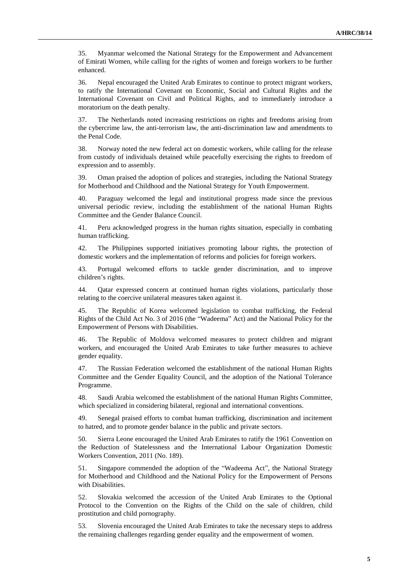35. Myanmar welcomed the National Strategy for the Empowerment and Advancement of Emirati Women, while calling for the rights of women and foreign workers to be further enhanced.

36. Nepal encouraged the United Arab Emirates to continue to protect migrant workers, to ratify the International Covenant on Economic, Social and Cultural Rights and the International Covenant on Civil and Political Rights, and to immediately introduce a moratorium on the death penalty.

37. The Netherlands noted increasing restrictions on rights and freedoms arising from the cybercrime law, the anti-terrorism law, the anti-discrimination law and amendments to the Penal Code.

38. Norway noted the new federal act on domestic workers, while calling for the release from custody of individuals detained while peacefully exercising the rights to freedom of expression and to assembly.

39. Oman praised the adoption of polices and strategies, including the National Strategy for Motherhood and Childhood and the National Strategy for Youth Empowerment.

40. Paraguay welcomed the legal and institutional progress made since the previous universal periodic review, including the establishment of the national Human Rights Committee and the Gender Balance Council.

41. Peru acknowledged progress in the human rights situation, especially in combating human trafficking.

42. The Philippines supported initiatives promoting labour rights, the protection of domestic workers and the implementation of reforms and policies for foreign workers.

43. Portugal welcomed efforts to tackle gender discrimination, and to improve children's rights.

44. Qatar expressed concern at continued human rights violations, particularly those relating to the coercive unilateral measures taken against it.

45. The Republic of Korea welcomed legislation to combat trafficking, the Federal Rights of the Child Act No. 3 of 2016 (the "Wadeema" Act) and the National Policy for the Empowerment of Persons with Disabilities.

46. The Republic of Moldova welcomed measures to protect children and migrant workers, and encouraged the United Arab Emirates to take further measures to achieve gender equality.

47. The Russian Federation welcomed the establishment of the national Human Rights Committee and the Gender Equality Council, and the adoption of the National Tolerance Programme.

48. Saudi Arabia welcomed the establishment of the national Human Rights Committee, which specialized in considering bilateral, regional and international conventions.

49. Senegal praised efforts to combat human trafficking, discrimination and incitement to hatred, and to promote gender balance in the public and private sectors.

50. Sierra Leone encouraged the United Arab Emirates to ratify the 1961 Convention on the Reduction of Statelessness and the International Labour Organization Domestic Workers Convention, 2011 (No. 189).

51. Singapore commended the adoption of the "Wadeema Act", the National Strategy for Motherhood and Childhood and the National Policy for the Empowerment of Persons with Disabilities.

52. Slovakia welcomed the accession of the United Arab Emirates to the Optional Protocol to the Convention on the Rights of the Child on the sale of children, child prostitution and child pornography.

53. Slovenia encouraged the United Arab Emirates to take the necessary steps to address the remaining challenges regarding gender equality and the empowerment of women.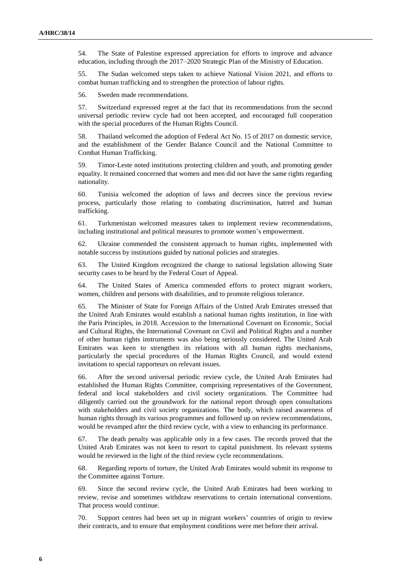54. The State of Palestine expressed appreciation for efforts to improve and advance education, including through the 2017–2020 Strategic Plan of the Ministry of Education.

55. The Sudan welcomed steps taken to achieve National Vision 2021, and efforts to combat human trafficking and to strengthen the protection of labour rights.

56. Sweden made recommendations.

57. Switzerland expressed regret at the fact that its recommendations from the second universal periodic review cycle had not been accepted, and encouraged full cooperation with the special procedures of the Human Rights Council.

58. Thailand welcomed the adoption of Federal Act No. 15 of 2017 on domestic service, and the establishment of the Gender Balance Council and the National Committee to Combat Human Trafficking.

59. Timor-Leste noted institutions protecting children and youth, and promoting gender equality. It remained concerned that women and men did not have the same rights regarding nationality.

60. Tunisia welcomed the adoption of laws and decrees since the previous review process, particularly those relating to combating discrimination, hatred and human trafficking.

61. Turkmenistan welcomed measures taken to implement review recommendations, including institutional and political measures to promote women's empowerment.

62. Ukraine commended the consistent approach to human rights, implemented with notable success by institutions guided by national policies and strategies.

63. The United Kingdom recognized the change to national legislation allowing State security cases to be heard by the Federal Court of Appeal.

64. The United States of America commended efforts to protect migrant workers, women, children and persons with disabilities, and to promote religious tolerance.

65. The Minister of State for Foreign Affairs of the United Arab Emirates stressed that the United Arab Emirates would establish a national human rights institution, in line with the Paris Principles, in 2018. Accession to the International Covenant on Economic, Social and Cultural Rights, the International Covenant on Civil and Political Rights and a number of other human rights instruments was also being seriously considered. The United Arab Emirates was keen to strengthen its relations with all human rights mechanisms, particularly the special procedures of the Human Rights Council, and would extend invitations to special rapporteurs on relevant issues.

66. After the second universal periodic review cycle, the United Arab Emirates had established the Human Rights Committee, comprising representatives of the Government, federal and local stakeholders and civil society organizations. The Committee had diligently carried out the groundwork for the national report through open consultations with stakeholders and civil society organizations. The body, which raised awareness of human rights through its various programmes and followed up on review recommendations, would be revamped after the third review cycle, with a view to enhancing its performance.

67. The death penalty was applicable only in a few cases. The records proved that the United Arab Emirates was not keen to resort to capital punishment. Its relevant systems would be reviewed in the light of the third review cycle recommendations.

68. Regarding reports of torture, the United Arab Emirates would submit its response to the Committee against Torture.

69. Since the second review cycle, the United Arab Emirates had been working to review, revise and sometimes withdraw reservations to certain international conventions. That process would continue.

70. Support centres had been set up in migrant workers' countries of origin to review their contracts, and to ensure that employment conditions were met before their arrival.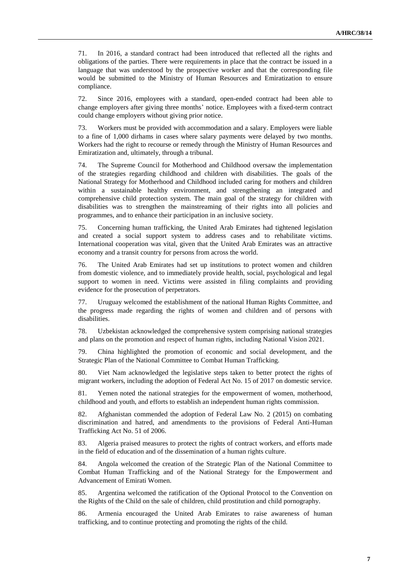71. In 2016, a standard contract had been introduced that reflected all the rights and obligations of the parties. There were requirements in place that the contract be issued in a language that was understood by the prospective worker and that the corresponding file would be submitted to the Ministry of Human Resources and Emiratization to ensure compliance.

72. Since 2016, employees with a standard, open-ended contract had been able to change employers after giving three months' notice. Employees with a fixed-term contract could change employers without giving prior notice.

73. Workers must be provided with accommodation and a salary. Employers were liable to a fine of 1,000 dirhams in cases where salary payments were delayed by two months. Workers had the right to recourse or remedy through the Ministry of Human Resources and Emiratization and, ultimately, through a tribunal.

74. The Supreme Council for Motherhood and Childhood oversaw the implementation of the strategies regarding childhood and children with disabilities. The goals of the National Strategy for Motherhood and Childhood included caring for mothers and children within a sustainable healthy environment, and strengthening an integrated and comprehensive child protection system. The main goal of the strategy for children with disabilities was to strengthen the mainstreaming of their rights into all policies and programmes, and to enhance their participation in an inclusive society.

75. Concerning human trafficking, the United Arab Emirates had tightened legislation and created a social support system to address cases and to rehabilitate victims. International cooperation was vital, given that the United Arab Emirates was an attractive economy and a transit country for persons from across the world.

76. The United Arab Emirates had set up institutions to protect women and children from domestic violence, and to immediately provide health, social, psychological and legal support to women in need. Victims were assisted in filing complaints and providing evidence for the prosecution of perpetrators.

77. Uruguay welcomed the establishment of the national Human Rights Committee, and the progress made regarding the rights of women and children and of persons with disabilities.

78. Uzbekistan acknowledged the comprehensive system comprising national strategies and plans on the promotion and respect of human rights, including National Vision 2021.

79. China highlighted the promotion of economic and social development, and the Strategic Plan of the National Committee to Combat Human Trafficking.

80. Viet Nam acknowledged the legislative steps taken to better protect the rights of migrant workers, including the adoption of Federal Act No. 15 of 2017 on domestic service.

81. Yemen noted the national strategies for the empowerment of women, motherhood, childhood and youth, and efforts to establish an independent human rights commission.

82. Afghanistan commended the adoption of Federal Law No. 2 (2015) on combating discrimination and hatred, and amendments to the provisions of Federal Anti-Human Trafficking Act No. 51 of 2006.

83. Algeria praised measures to protect the rights of contract workers, and efforts made in the field of education and of the dissemination of a human rights culture.

84. Angola welcomed the creation of the Strategic Plan of the National Committee to Combat Human Trafficking and of the National Strategy for the Empowerment and Advancement of Emirati Women.

85. Argentina welcomed the ratification of the Optional Protocol to the Convention on the Rights of the Child on the sale of children, child prostitution and child pornography.

86. Armenia encouraged the United Arab Emirates to raise awareness of human trafficking, and to continue protecting and promoting the rights of the child.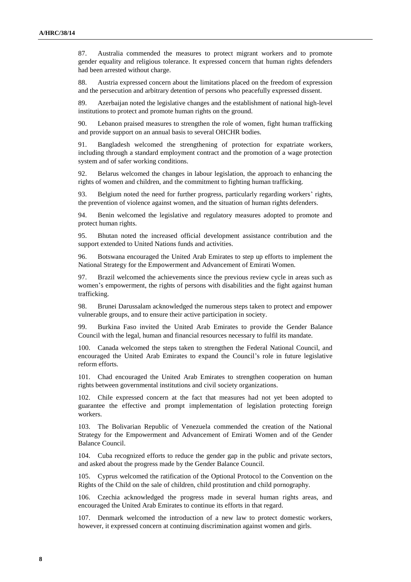87. Australia commended the measures to protect migrant workers and to promote gender equality and religious tolerance. It expressed concern that human rights defenders had been arrested without charge.

88. Austria expressed concern about the limitations placed on the freedom of expression and the persecution and arbitrary detention of persons who peacefully expressed dissent.

89. Azerbaijan noted the legislative changes and the establishment of national high-level institutions to protect and promote human rights on the ground.

90. Lebanon praised measures to strengthen the role of women, fight human trafficking and provide support on an annual basis to several OHCHR bodies.

91. Bangladesh welcomed the strengthening of protection for expatriate workers, including through a standard employment contract and the promotion of a wage protection system and of safer working conditions.

92. Belarus welcomed the changes in labour legislation, the approach to enhancing the rights of women and children, and the commitment to fighting human trafficking.

93. Belgium noted the need for further progress, particularly regarding workers' rights, the prevention of violence against women, and the situation of human rights defenders.

94. Benin welcomed the legislative and regulatory measures adopted to promote and protect human rights.

95. Bhutan noted the increased official development assistance contribution and the support extended to United Nations funds and activities.

96. Botswana encouraged the United Arab Emirates to step up efforts to implement the National Strategy for the Empowerment and Advancement of Emirati Women.

97. Brazil welcomed the achievements since the previous review cycle in areas such as women's empowerment, the rights of persons with disabilities and the fight against human trafficking.

98. Brunei Darussalam acknowledged the numerous steps taken to protect and empower vulnerable groups, and to ensure their active participation in society.

99. Burkina Faso invited the United Arab Emirates to provide the Gender Balance Council with the legal, human and financial resources necessary to fulfil its mandate.

100. Canada welcomed the steps taken to strengthen the Federal National Council, and encouraged the United Arab Emirates to expand the Council's role in future legislative reform efforts.

101. Chad encouraged the United Arab Emirates to strengthen cooperation on human rights between governmental institutions and civil society organizations.

102. Chile expressed concern at the fact that measures had not yet been adopted to guarantee the effective and prompt implementation of legislation protecting foreign workers.

103. The Bolivarian Republic of Venezuela commended the creation of the National Strategy for the Empowerment and Advancement of Emirati Women and of the Gender Balance Council.

104. Cuba recognized efforts to reduce the gender gap in the public and private sectors, and asked about the progress made by the Gender Balance Council.

105. Cyprus welcomed the ratification of the Optional Protocol to the Convention on the Rights of the Child on the sale of children, child prostitution and child pornography.

106. Czechia acknowledged the progress made in several human rights areas, and encouraged the United Arab Emirates to continue its efforts in that regard.

107. Denmark welcomed the introduction of a new law to protect domestic workers, however, it expressed concern at continuing discrimination against women and girls.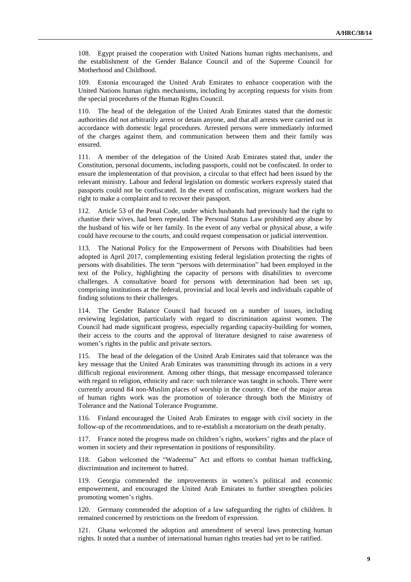108. Egypt praised the cooperation with United Nations human rights mechanisms, and the establishment of the Gender Balance Council and of the Supreme Council for Motherhood and Childhood.

109. Estonia encouraged the United Arab Emirates to enhance cooperation with the United Nations human rights mechanisms, including by accepting requests for visits from the special procedures of the Human Rights Council.

110. The head of the delegation of the United Arab Emirates stated that the domestic authorities did not arbitrarily arrest or detain anyone, and that all arrests were carried out in accordance with domestic legal procedures. Arrested persons were immediately informed of the charges against them, and communication between them and their family was ensured.

111. A member of the delegation of the United Arab Emirates stated that, under the Constitution, personal documents, including passports, could not be confiscated. In order to ensure the implementation of that provision, a circular to that effect had been issued by the relevant ministry. Labour and federal legislation on domestic workers expressly stated that passports could not be confiscated. In the event of confiscation, migrant workers had the right to make a complaint and to recover their passport.

112. Article 53 of the Penal Code, under which husbands had previously had the right to chastise their wives, had been repealed. The Personal Status Law prohibited any abuse by the husband of his wife or her family. In the event of any verbal or physical abuse, a wife could have recourse to the courts, and could request compensation or judicial intervention.

113. The National Policy for the Empowerment of Persons with Disabilities had been adopted in April 2017, complementing existing federal legislation protecting the rights of persons with disabilities. The term "persons with determination" had been employed in the text of the Policy, highlighting the capacity of persons with disabilities to overcome challenges. A consultative board for persons with determination had been set up, comprising institutions at the federal, provincial and local levels and individuals capable of finding solutions to their challenges.

114. The Gender Balance Council had focused on a number of issues, including reviewing legislation, particularly with regard to discrimination against women. The Council had made significant progress, especially regarding capacity-building for women, their access to the courts and the approval of literature designed to raise awareness of women's rights in the public and private sectors.

115. The head of the delegation of the United Arab Emirates said that tolerance was the key message that the United Arab Emirates was transmitting through its actions in a very difficult regional environment. Among other things, that message encompassed tolerance with regard to religion, ethnicity and race: such tolerance was taught in schools. There were currently around 84 non-Muslim places of worship in the country. One of the major areas of human rights work was the promotion of tolerance through both the Ministry of Tolerance and the National Tolerance Programme.

116. Finland encouraged the United Arab Emirates to engage with civil society in the follow-up of the recommendations, and to re-establish a moratorium on the death penalty.

117. France noted the progress made on children's rights, workers' rights and the place of women in society and their representation in positions of responsibility.

118. Gabon welcomed the "Wadeema" Act and efforts to combat human trafficking, discrimination and incitement to hatred.

119. Georgia commended the improvements in women's political and economic empowerment, and encouraged the United Arab Emirates to further strengthen policies promoting women's rights.

120. Germany commended the adoption of a law safeguarding the rights of children. It remained concerned by restrictions on the freedom of expression.

121. Ghana welcomed the adoption and amendment of several laws protecting human rights. It noted that a number of international human rights treaties had yet to be ratified.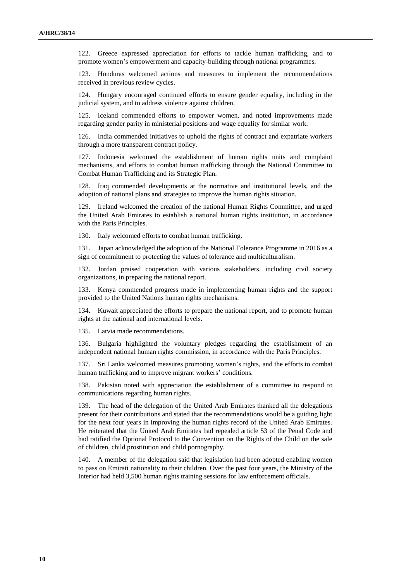122. Greece expressed appreciation for efforts to tackle human trafficking, and to promote women's empowerment and capacity-building through national programmes.

123. Honduras welcomed actions and measures to implement the recommendations received in previous review cycles.

124. Hungary encouraged continued efforts to ensure gender equality, including in the judicial system, and to address violence against children.

125. Iceland commended efforts to empower women, and noted improvements made regarding gender parity in ministerial positions and wage equality for similar work.

126. India commended initiatives to uphold the rights of contract and expatriate workers through a more transparent contract policy.

127. Indonesia welcomed the establishment of human rights units and complaint mechanisms, and efforts to combat human trafficking through the National Committee to Combat Human Trafficking and its Strategic Plan.

128. Iraq commended developments at the normative and institutional levels, and the adoption of national plans and strategies to improve the human rights situation.

129. Ireland welcomed the creation of the national Human Rights Committee, and urged the United Arab Emirates to establish a national human rights institution, in accordance with the Paris Principles.

130. Italy welcomed efforts to combat human trafficking.

131. Japan acknowledged the adoption of the National Tolerance Programme in 2016 as a sign of commitment to protecting the values of tolerance and multiculturalism.

132. Jordan praised cooperation with various stakeholders, including civil society organizations, in preparing the national report.

133. Kenya commended progress made in implementing human rights and the support provided to the United Nations human rights mechanisms.

134. Kuwait appreciated the efforts to prepare the national report, and to promote human rights at the national and international levels.

135. Latvia made recommendations.

136. Bulgaria highlighted the voluntary pledges regarding the establishment of an independent national human rights commission, in accordance with the Paris Principles.

137. Sri Lanka welcomed measures promoting women's rights, and the efforts to combat human trafficking and to improve migrant workers' conditions.

138. Pakistan noted with appreciation the establishment of a committee to respond to communications regarding human rights.

139. The head of the delegation of the United Arab Emirates thanked all the delegations present for their contributions and stated that the recommendations would be a guiding light for the next four years in improving the human rights record of the United Arab Emirates. He reiterated that the United Arab Emirates had repealed article 53 of the Penal Code and had ratified the Optional Protocol to the Convention on the Rights of the Child on the sale of children, child prostitution and child pornography.

140. A member of the delegation said that legislation had been adopted enabling women to pass on Emirati nationality to their children. Over the past four years, the Ministry of the Interior had held 3,500 human rights training sessions for law enforcement officials.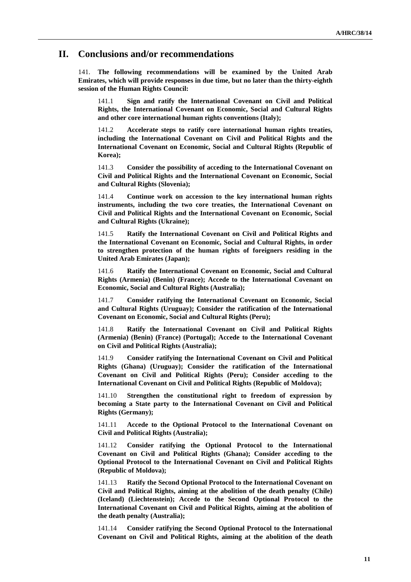### **II. Conclusions and/or recommendations**

141. **The following recommendations will be examined by the United Arab Emirates, which will provide responses in due time, but no later than the thirty-eighth session of the Human Rights Council:**

141.1 **Sign and ratify the International Covenant on Civil and Political Rights, the International Covenant on Economic, Social and Cultural Rights and other core international human rights conventions (Italy);**

141.2 **Accelerate steps to ratify core international human rights treaties, including the International Covenant on Civil and Political Rights and the International Covenant on Economic, Social and Cultural Rights (Republic of Korea);**

141.3 **Consider the possibility of acceding to the International Covenant on Civil and Political Rights and the International Covenant on Economic, Social and Cultural Rights (Slovenia);**

141.4 **Continue work on accession to the key international human rights instruments, including the two core treaties, the International Covenant on Civil and Political Rights and the International Covenant on Economic, Social and Cultural Rights (Ukraine);**

141.5 **Ratify the International Covenant on Civil and Political Rights and the International Covenant on Economic, Social and Cultural Rights, in order to strengthen protection of the human rights of foreigners residing in the United Arab Emirates (Japan);**

141.6 **Ratify the International Covenant on Economic, Social and Cultural Rights (Armenia) (Benin) (France); Accede to the International Covenant on Economic, Social and Cultural Rights (Australia);**

141.7 **Consider ratifying the International Covenant on Economic, Social and Cultural Rights (Uruguay); Consider the ratification of the International Covenant on Economic, Social and Cultural Rights (Peru);**

141.8 **Ratify the International Covenant on Civil and Political Rights (Armenia) (Benin) (France) (Portugal); Accede to the International Covenant on Civil and Political Rights (Australia);**

141.9 **Consider ratifying the International Covenant on Civil and Political Rights (Ghana) (Uruguay); Consider the ratification of the International Covenant on Civil and Political Rights (Peru); Consider acceding to the International Covenant on Civil and Political Rights (Republic of Moldova);**

141.10 **Strengthen the constitutional right to freedom of expression by becoming a State party to the International Covenant on Civil and Political Rights (Germany);**

141.11 **Accede to the Optional Protocol to the International Covenant on Civil and Political Rights (Australia);**

141.12 **Consider ratifying the Optional Protocol to the International Covenant on Civil and Political Rights (Ghana); Consider acceding to the Optional Protocol to the International Covenant on Civil and Political Rights (Republic of Moldova);**

141.13 **Ratify the Second Optional Protocol to the International Covenant on Civil and Political Rights, aiming at the abolition of the death penalty (Chile) (Iceland) (Liechtenstein); Accede to the Second Optional Protocol to the International Covenant on Civil and Political Rights, aiming at the abolition of the death penalty (Australia);**

141.14 **Consider ratifying the Second Optional Protocol to the International Covenant on Civil and Political Rights, aiming at the abolition of the death**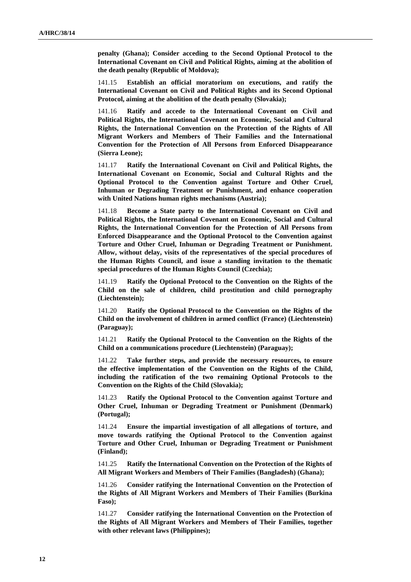**penalty (Ghana); Consider acceding to the Second Optional Protocol to the International Covenant on Civil and Political Rights, aiming at the abolition of the death penalty (Republic of Moldova);**

141.15 **Establish an official moratorium on executions, and ratify the International Covenant on Civil and Political Rights and its Second Optional Protocol, aiming at the abolition of the death penalty (Slovakia);**

141.16 **Ratify and accede to the International Covenant on Civil and Political Rights, the International Covenant on Economic, Social and Cultural Rights, the International Convention on the Protection of the Rights of All Migrant Workers and Members of Their Families and the International Convention for the Protection of All Persons from Enforced Disappearance (Sierra Leone);**

141.17 **Ratify the International Covenant on Civil and Political Rights, the International Covenant on Economic, Social and Cultural Rights and the Optional Protocol to the Convention against Torture and Other Cruel, Inhuman or Degrading Treatment or Punishment, and enhance cooperation with United Nations human rights mechanisms (Austria);**

141.18 **Become a State party to the International Covenant on Civil and Political Rights, the International Covenant on Economic, Social and Cultural Rights, the International Convention for the Protection of All Persons from Enforced Disappearance and the Optional Protocol to the Convention against Torture and Other Cruel, Inhuman or Degrading Treatment or Punishment. Allow, without delay, visits of the representatives of the special procedures of the Human Rights Council, and issue a standing invitation to the thematic special procedures of the Human Rights Council (Czechia);**

141.19 **Ratify the Optional Protocol to the Convention on the Rights of the Child on the sale of children, child prostitution and child pornography (Liechtenstein);**

141.20 **Ratify the Optional Protocol to the Convention on the Rights of the Child on the involvement of children in armed conflict (France) (Liechtenstein) (Paraguay);**

141.21 **Ratify the Optional Protocol to the Convention on the Rights of the Child on a communications procedure (Liechtenstein) (Paraguay);**

141.22 **Take further steps, and provide the necessary resources, to ensure the effective implementation of the Convention on the Rights of the Child, including the ratification of the two remaining Optional Protocols to the Convention on the Rights of the Child (Slovakia);**

141.23 **Ratify the Optional Protocol to the Convention against Torture and Other Cruel, Inhuman or Degrading Treatment or Punishment (Denmark) (Portugal);**

141.24 **Ensure the impartial investigation of all allegations of torture, and move towards ratifying the Optional Protocol to the Convention against Torture and Other Cruel, Inhuman or Degrading Treatment or Punishment (Finland);**

141.25 **Ratify the International Convention on the Protection of the Rights of All Migrant Workers and Members of Their Families (Bangladesh) (Ghana);**

141.26 **Consider ratifying the International Convention on the Protection of the Rights of All Migrant Workers and Members of Their Families (Burkina Faso);**

141.27 **Consider ratifying the International Convention on the Protection of the Rights of All Migrant Workers and Members of Their Families, together with other relevant laws (Philippines);**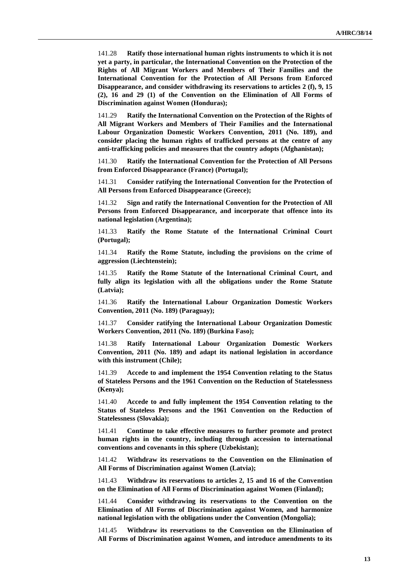141.28 **Ratify those international human rights instruments to which it is not yet a party, in particular, the International Convention on the Protection of the Rights of All Migrant Workers and Members of Their Families and the International Convention for the Protection of All Persons from Enforced Disappearance, and consider withdrawing its reservations to articles 2 (f), 9, 15 (2), 16 and 29 (1) of the Convention on the Elimination of All Forms of Discrimination against Women (Honduras);**

141.29 **Ratify the International Convention on the Protection of the Rights of All Migrant Workers and Members of Their Families and the International Labour Organization Domestic Workers Convention, 2011 (No. 189), and consider placing the human rights of trafficked persons at the centre of any anti-trafficking policies and measures that the country adopts (Afghanistan);**

141.30 **Ratify the International Convention for the Protection of All Persons from Enforced Disappearance (France) (Portugal);**

141.31 **Consider ratifying the International Convention for the Protection of All Persons from Enforced Disappearance (Greece);**

141.32 **Sign and ratify the International Convention for the Protection of All Persons from Enforced Disappearance, and incorporate that offence into its national legislation (Argentina);**

141.33 **Ratify the Rome Statute of the International Criminal Court (Portugal);**

141.34 **Ratify the Rome Statute, including the provisions on the crime of aggression (Liechtenstein);**

141.35 **Ratify the Rome Statute of the International Criminal Court, and fully align its legislation with all the obligations under the Rome Statute (Latvia);**

141.36 **Ratify the International Labour Organization Domestic Workers Convention, 2011 (No. 189) (Paraguay);**

141.37 **Consider ratifying the International Labour Organization Domestic Workers Convention, 2011 (No. 189) (Burkina Faso);**

141.38 **Ratify International Labour Organization Domestic Workers Convention, 2011 (No. 189) and adapt its national legislation in accordance with this instrument (Chile);**

141.39 **Accede to and implement the 1954 Convention relating to the Status of Stateless Persons and the 1961 Convention on the Reduction of Statelessness (Kenya);**

141.40 **Accede to and fully implement the 1954 Convention relating to the Status of Stateless Persons and the 1961 Convention on the Reduction of Statelessness (Slovakia);**

141.41 **Continue to take effective measures to further promote and protect human rights in the country, including through accession to international conventions and covenants in this sphere (Uzbekistan);**

141.42 **Withdraw its reservations to the Convention on the Elimination of All Forms of Discrimination against Women (Latvia);**

141.43 **Withdraw its reservations to articles 2, 15 and 16 of the Convention on the Elimination of All Forms of Discrimination against Women (Finland);**

141.44 **Consider withdrawing its reservations to the Convention on the Elimination of All Forms of Discrimination against Women, and harmonize national legislation with the obligations under the Convention (Mongolia);**

141.45 **Withdraw its reservations to the Convention on the Elimination of All Forms of Discrimination against Women, and introduce amendments to its**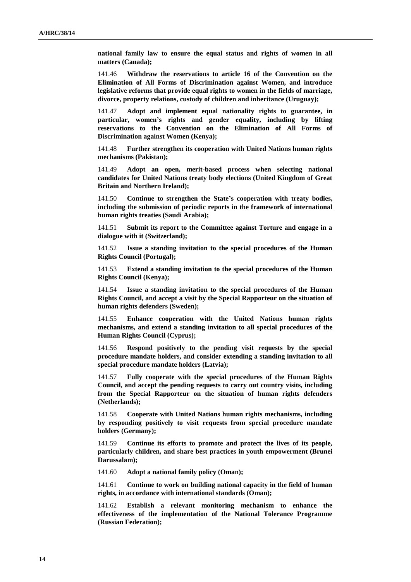**national family law to ensure the equal status and rights of women in all matters (Canada);**

141.46 **Withdraw the reservations to article 16 of the Convention on the Elimination of All Forms of Discrimination against Women, and introduce legislative reforms that provide equal rights to women in the fields of marriage, divorce, property relations, custody of children and inheritance (Uruguay);**

141.47 **Adopt and implement equal nationality rights to guarantee, in particular, women's rights and gender equality, including by lifting reservations to the Convention on the Elimination of All Forms of Discrimination against Women (Kenya);**

141.48 **Further strengthen its cooperation with United Nations human rights mechanisms (Pakistan);**

141.49 **Adopt an open, merit-based process when selecting national candidates for United Nations treaty body elections (United Kingdom of Great Britain and Northern Ireland);**

141.50 **Continue to strengthen the State's cooperation with treaty bodies, including the submission of periodic reports in the framework of international human rights treaties (Saudi Arabia);**

141.51 **Submit its report to the Committee against Torture and engage in a dialogue with it (Switzerland);**

141.52 **Issue a standing invitation to the special procedures of the Human Rights Council (Portugal);**

141.53 **Extend a standing invitation to the special procedures of the Human Rights Council (Kenya);**

141.54 **Issue a standing invitation to the special procedures of the Human Rights Council, and accept a visit by the Special Rapporteur on the situation of human rights defenders (Sweden);**

141.55 **Enhance cooperation with the United Nations human rights mechanisms, and extend a standing invitation to all special procedures of the Human Rights Council (Cyprus);**

141.56 **Respond positively to the pending visit requests by the special procedure mandate holders, and consider extending a standing invitation to all special procedure mandate holders (Latvia);**

141.57 **Fully cooperate with the special procedures of the Human Rights Council, and accept the pending requests to carry out country visits, including from the Special Rapporteur on the situation of human rights defenders (Netherlands);**

141.58 **Cooperate with United Nations human rights mechanisms, including by responding positively to visit requests from special procedure mandate holders (Germany);**

141.59 **Continue its efforts to promote and protect the lives of its people, particularly children, and share best practices in youth empowerment (Brunei Darussalam);**

141.60 **Adopt a national family policy (Oman);**

141.61 **Continue to work on building national capacity in the field of human rights, in accordance with international standards (Oman);**

141.62 **Establish a relevant monitoring mechanism to enhance the effectiveness of the implementation of the National Tolerance Programme (Russian Federation);**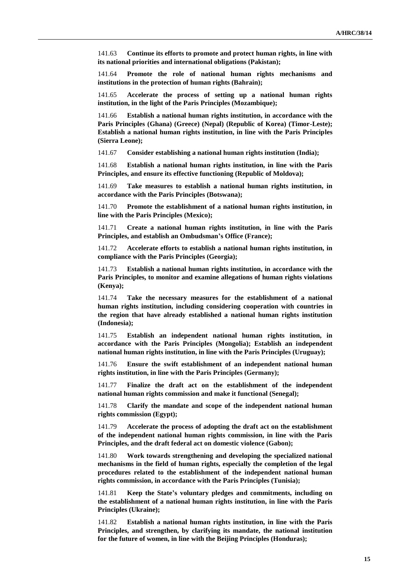141.63 **Continue its efforts to promote and protect human rights, in line with its national priorities and international obligations (Pakistan);**

141.64 **Promote the role of national human rights mechanisms and institutions in the protection of human rights (Bahrain);**

141.65 **Accelerate the process of setting up a national human rights institution, in the light of the Paris Principles (Mozambique);**

141.66 **Establish a national human rights institution, in accordance with the Paris Principles (Ghana) (Greece) (Nepal) (Republic of Korea) (Timor-Leste); Establish a national human rights institution, in line with the Paris Principles (Sierra Leone);**

141.67 **Consider establishing a national human rights institution (India);**

141.68 **Establish a national human rights institution, in line with the Paris Principles, and ensure its effective functioning (Republic of Moldova);**

141.69 **Take measures to establish a national human rights institution, in accordance with the Paris Principles (Botswana);**

141.70 **Promote the establishment of a national human rights institution, in line with the Paris Principles (Mexico);**

141.71 **Create a national human rights institution, in line with the Paris Principles, and establish an Ombudsman's Office (France);**

141.72 **Accelerate efforts to establish a national human rights institution, in compliance with the Paris Principles (Georgia);**

141.73 **Establish a national human rights institution, in accordance with the Paris Principles, to monitor and examine allegations of human rights violations (Kenya);**

141.74 **Take the necessary measures for the establishment of a national human rights institution, including considering cooperation with countries in the region that have already established a national human rights institution (Indonesia);**

141.75 **Establish an independent national human rights institution, in accordance with the Paris Principles (Mongolia); Establish an independent national human rights institution, in line with the Paris Principles (Uruguay);**

141.76 **Ensure the swift establishment of an independent national human rights institution, in line with the Paris Principles (Germany);**

141.77 **Finalize the draft act on the establishment of the independent national human rights commission and make it functional (Senegal);**

141.78 **Clarify the mandate and scope of the independent national human rights commission (Egypt);**

141.79 **Accelerate the process of adopting the draft act on the establishment of the independent national human rights commission, in line with the Paris Principles, and the draft federal act on domestic violence (Gabon);**

141.80 **Work towards strengthening and developing the specialized national mechanisms in the field of human rights, especially the completion of the legal procedures related to the establishment of the independent national human rights commission, in accordance with the Paris Principles (Tunisia);**

141.81 **Keep the State's voluntary pledges and commitments, including on the establishment of a national human rights institution, in line with the Paris Principles (Ukraine);**

141.82 **Establish a national human rights institution, in line with the Paris Principles, and strengthen, by clarifying its mandate, the national institution for the future of women, in line with the Beijing Principles (Honduras);**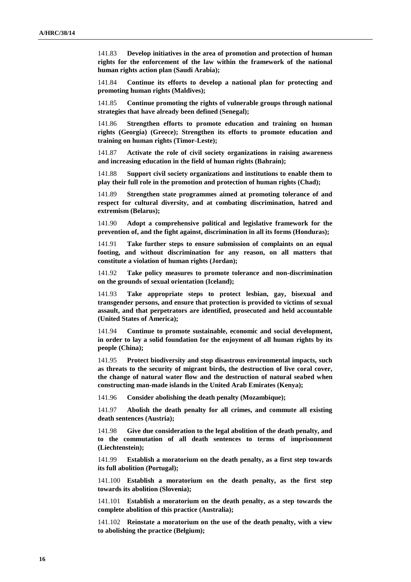141.83 **Develop initiatives in the area of promotion and protection of human rights for the enforcement of the law within the framework of the national human rights action plan (Saudi Arabia);**

141.84 **Continue its efforts to develop a national plan for protecting and promoting human rights (Maldives);**

141.85 **Continue promoting the rights of vulnerable groups through national strategies that have already been defined (Senegal);**

141.86 **Strengthen efforts to promote education and training on human rights (Georgia) (Greece); Strengthen its efforts to promote education and training on human rights (Timor-Leste);**

141.87 **Activate the role of civil society organizations in raising awareness and increasing education in the field of human rights (Bahrain);**

141.88 **Support civil society organizations and institutions to enable them to play their full role in the promotion and protection of human rights (Chad);**

141.89 **Strengthen state programmes aimed at promoting tolerance of and respect for cultural diversity, and at combating discrimination, hatred and extremism (Belarus);**

141.90 **Adopt a comprehensive political and legislative framework for the prevention of, and the fight against, discrimination in all its forms (Honduras);**

141.91 **Take further steps to ensure submission of complaints on an equal footing, and without discrimination for any reason, on all matters that constitute a violation of human rights (Jordan);**

141.92 **Take policy measures to promote tolerance and non-discrimination on the grounds of sexual orientation (Iceland);**

141.93 **Take appropriate steps to protect lesbian, gay, bisexual and transgender persons, and ensure that protection is provided to victims of sexual assault, and that perpetrators are identified, prosecuted and held accountable (United States of America);**

141.94 **Continue to promote sustainable, economic and social development, in order to lay a solid foundation for the enjoyment of all human rights by its people (China);**

141.95 **Protect biodiversity and stop disastrous environmental impacts, such as threats to the security of migrant birds, the destruction of live coral cover, the change of natural water flow and the destruction of natural seabed when constructing man-made islands in the United Arab Emirates (Kenya);**

141.96 **Consider abolishing the death penalty (Mozambique);**

141.97 **Abolish the death penalty for all crimes, and commute all existing death sentences (Austria);**

141.98 **Give due consideration to the legal abolition of the death penalty, and to the commutation of all death sentences to terms of imprisonment (Liechtenstein);**

141.99 **Establish a moratorium on the death penalty, as a first step towards its full abolition (Portugal);**

141.100 **Establish a moratorium on the death penalty, as the first step towards its abolition (Slovenia);**

141.101 **Establish a moratorium on the death penalty, as a step towards the complete abolition of this practice (Australia);**

141.102 **Reinstate a moratorium on the use of the death penalty, with a view to abolishing the practice (Belgium);**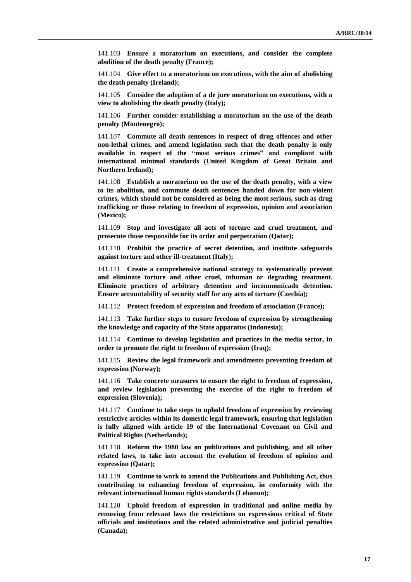141.103 **Ensure a moratorium on executions, and consider the complete abolition of the death penalty (France);**

141.104 **Give effect to a moratorium on executions, with the aim of abolishing the death penalty (Ireland);**

141.105 **Consider the adoption of a de jure moratorium on executions, with a view to abolishing the death penalty (Italy);**

141.106 **Further consider establishing a moratorium on the use of the death penalty (Montenegro);**

141.107 **Commute all death sentences in respect of drug offences and other non-lethal crimes, and amend legislation such that the death penalty is only available in respect of the "most serious crimes" and compliant with international minimal standards (United Kingdom of Great Britain and Northern Ireland);**

141.108 **Establish a moratorium on the use of the death penalty, with a view to its abolition, and commute death sentences handed down for non-violent crimes, which should not be considered as being the most serious, such as drug trafficking or those relating to freedom of expression, opinion and association (Mexico);**

141.109 **Stop and investigate all acts of torture and cruel treatment, and prosecute those responsible for its order and perpetration (Qatar);**

141.110 **Prohibit the practice of secret detention, and institute safeguards against torture and other ill-treatment (Italy);**

141.111 **Create a comprehensive national strategy to systematically prevent and eliminate torture and other cruel, inhuman or degrading treatment. Eliminate practices of arbitrary detention and incommunicado detention. Ensure accountability of security staff for any acts of torture (Czechia);**

141.112 **Protect freedom of expression and freedom of association (France);**

141.113 **Take further steps to ensure freedom of expression by strengthening the knowledge and capacity of the State apparatus (Indonesia);**

141.114 **Continue to develop legislation and practices in the media sector, in order to promote the right to freedom of expression (Iraq);**

141.115 **Review the legal framework and amendments preventing freedom of expression (Norway);**

141.116 **Take concrete measures to ensure the right to freedom of expression, and review legislation preventing the exercise of the right to freedom of expression (Slovenia);**

141.117 **Continue to take steps to uphold freedom of expression by reviewing restrictive articles within its domestic legal framework, ensuring that legislation is fully aligned with article 19 of the International Covenant on Civil and Political Rights (Netherlands);**

141.118 **Reform the 1980 law on publications and publishing, and all other related laws, to take into account the evolution of freedom of opinion and expression (Qatar);**

141.119 **Continue to work to amend the Publications and Publishing Act, thus contributing to enhancing freedom of expression, in conformity with the relevant international human rights standards (Lebanon);**

141.120 **Uphold freedom of expression in traditional and online media by removing from relevant laws the restrictions on expressions critical of State officials and institutions and the related administrative and judicial penalties (Canada);**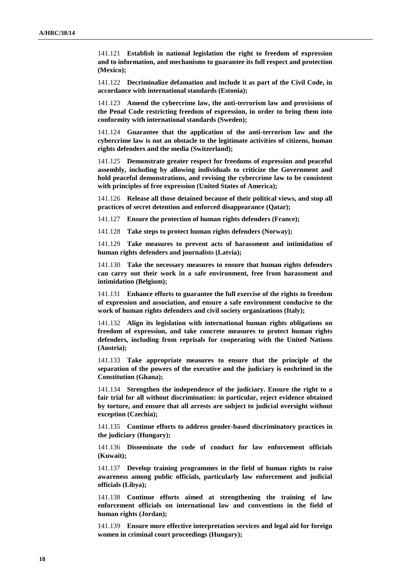141.121 **Establish in national legislation the right to freedom of expression and to information, and mechanisms to guarantee its full respect and protection (Mexico);**

141.122 **Decriminalize defamation and include it as part of the Civil Code, in accordance with international standards (Estonia);**

141.123 **Amend the cybercrime law, the anti-terrorism law and provisions of the Penal Code restricting freedom of expression, in order to bring them into conformity with international standards (Sweden);**

141.124 **Guarantee that the application of the anti-terrorism law and the cybercrime law is not an obstacle to the legitimate activities of citizens, human rights defenders and the media (Switzerland);**

141.125 **Demonstrate greater respect for freedoms of expression and peaceful assembly, including by allowing individuals to criticize the Government and hold peaceful demonstrations, and revising the cybercrime law to be consistent with principles of free expression (United States of America);**

141.126 **Release all those detained because of their political views, and stop all practices of secret detention and enforced disappearance (Qatar);**

141.127 **Ensure the protection of human rights defenders (France);**

141.128 **Take steps to protect human rights defenders (Norway);**

141.129 **Take measures to prevent acts of harassment and intimidation of human rights defenders and journalists (Latvia);**

141.130 **Take the necessary measures to ensure that human rights defenders can carry out their work in a safe environment, free from harassment and intimidation (Belgium);**

141.131 **Enhance efforts to guarantee the full exercise of the rights to freedom of expression and association, and ensure a safe environment conducive to the work of human rights defenders and civil society organizations (Italy);**

141.132 **Align its legislation with international human rights obligations on freedom of expression, and take concrete measures to protect human rights defenders, including from reprisals for cooperating with the United Nations (Austria);**

141.133 **Take appropriate measures to ensure that the principle of the separation of the powers of the executive and the judiciary is enshrined in the Constitution (Ghana);**

141.134 **Strengthen the independence of the judiciary. Ensure the right to a fair trial for all without discrimination: in particular, reject evidence obtained by torture, and ensure that all arrests are subject to judicial oversight without exception (Czechia);**

141.135 **Continue efforts to address gender-based discriminatory practices in the judiciary (Hungary);**

141.136 **Disseminate the code of conduct for law enforcement officials (Kuwait);**

141.137 **Develop training programmes in the field of human rights to raise awareness among public officials, particularly law enforcement and judicial officials (Libya);**

141.138 **Continue efforts aimed at strengthening the training of law enforcement officials on international law and conventions in the field of human rights (Jordan);**

141.139 **Ensure more effective interpretation services and legal aid for foreign women in criminal court proceedings (Hungary);**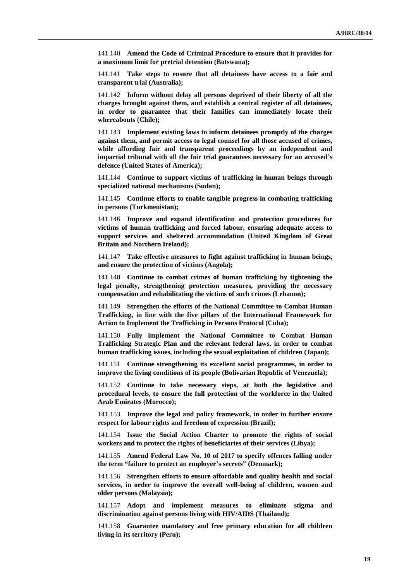141.140 **Amend the Code of Criminal Procedure to ensure that it provides for a maximum limit for pretrial detention (Botswana);**

141.141 **Take steps to ensure that all detainees have access to a fair and transparent trial (Australia);**

141.142 **Inform without delay all persons deprived of their liberty of all the charges brought against them, and establish a central register of all detainees, in order to guarantee that their families can immediately locate their whereabouts (Chile);**

141.143 **Implement existing laws to inform detainees promptly of the charges against them, and permit access to legal counsel for all those accused of crimes, while affording fair and transparent proceedings by an independent and impartial tribunal with all the fair trial guarantees necessary for an accused's defence (United States of America);**

141.144 **Continue to support victims of trafficking in human beings through specialized national mechanisms (Sudan);**

141.145 **Continue efforts to enable tangible progress in combating trafficking in persons (Turkmenistan);**

141.146 **Improve and expand identification and protection procedures for victims of human trafficking and forced labour, ensuring adequate access to support services and sheltered accommodation (United Kingdom of Great Britain and Northern Ireland);**

141.147 **Take effective measures to fight against trafficking in human beings, and ensure the protection of victims (Angola);**

141.148 **Continue to combat crimes of human trafficking by tightening the legal penalty, strengthening protection measures, providing the necessary compensation and rehabilitating the victims of such crimes (Lebanon);**

141.149 **Strengthen the efforts of the National Committee to Combat Human Trafficking, in line with the five pillars of the International Framework for Action to Implement the Trafficking in Persons Protocol (Cuba);**

141.150 **Fully implement the National Committee to Combat Human Trafficking Strategic Plan and the relevant federal laws, in order to combat human trafficking issues, including the sexual exploitation of children (Japan);**

141.151 **Continue strengthening its excellent social programmes, in order to improve the living conditions of its people (Bolivarian Republic of Venezuela);**

141.152 **Continue to take necessary steps, at both the legislative and procedural levels, to ensure the full protection of the workforce in the United Arab Emirates (Morocco);**

141.153 **Improve the legal and policy framework, in order to further ensure respect for labour rights and freedom of expression (Brazil);**

141.154 **Issue the Social Action Charter to promote the rights of social workers and to protect the rights of beneficiaries of their services (Libya);**

141.155 **Amend Federal Law No. 10 of 2017 to specify offences falling under the term "failure to protect an employer's secrets" (Denmark);**

141.156 **Strengthen efforts to ensure affordable and quality health and social services, in order to improve the overall well-being of children, women and older persons (Malaysia);**

141.157 **Adopt and implement measures to eliminate stigma and discrimination against persons living with HIV/AIDS (Thailand);**

141.158 **Guarantee mandatory and free primary education for all children living in its territory (Peru);**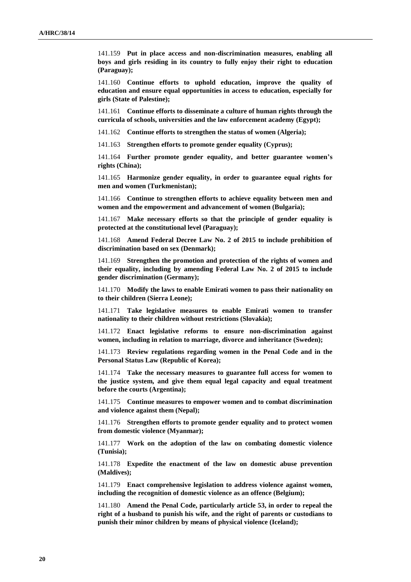141.159 **Put in place access and non-discrimination measures, enabling all boys and girls residing in its country to fully enjoy their right to education (Paraguay);**

141.160 **Continue efforts to uphold education, improve the quality of education and ensure equal opportunities in access to education, especially for girls (State of Palestine);**

141.161 **Continue efforts to disseminate a culture of human rights through the curricula of schools, universities and the law enforcement academy (Egypt);**

141.162 **Continue efforts to strengthen the status of women (Algeria);**

141.163 **Strengthen efforts to promote gender equality (Cyprus);**

141.164 **Further promote gender equality, and better guarantee women's rights (China);**

141.165 **Harmonize gender equality, in order to guarantee equal rights for men and women (Turkmenistan);**

141.166 **Continue to strengthen efforts to achieve equality between men and women and the empowerment and advancement of women (Bulgaria);**

141.167 **Make necessary efforts so that the principle of gender equality is protected at the constitutional level (Paraguay);**

141.168 **Amend Federal Decree Law No. 2 of 2015 to include prohibition of discrimination based on sex (Denmark);**

141.169 **Strengthen the promotion and protection of the rights of women and their equality, including by amending Federal Law No. 2 of 2015 to include gender discrimination (Germany);**

141.170 **Modify the laws to enable Emirati women to pass their nationality on to their children (Sierra Leone);**

141.171 **Take legislative measures to enable Emirati women to transfer nationality to their children without restrictions (Slovakia);**

141.172 **Enact legislative reforms to ensure non-discrimination against women, including in relation to marriage, divorce and inheritance (Sweden);**

141.173 **Review regulations regarding women in the Penal Code and in the Personal Status Law (Republic of Korea);**

141.174 **Take the necessary measures to guarantee full access for women to the justice system, and give them equal legal capacity and equal treatment before the courts (Argentina);**

141.175 **Continue measures to empower women and to combat discrimination and violence against them (Nepal);**

141.176 **Strengthen efforts to promote gender equality and to protect women from domestic violence (Myanmar);**

141.177 **Work on the adoption of the law on combating domestic violence (Tunisia);**

141.178 **Expedite the enactment of the law on domestic abuse prevention (Maldives);**

141.179 **Enact comprehensive legislation to address violence against women, including the recognition of domestic violence as an offence (Belgium);**

141.180 **Amend the Penal Code, particularly article 53, in order to repeal the right of a husband to punish his wife, and the right of parents or custodians to punish their minor children by means of physical violence (Iceland);**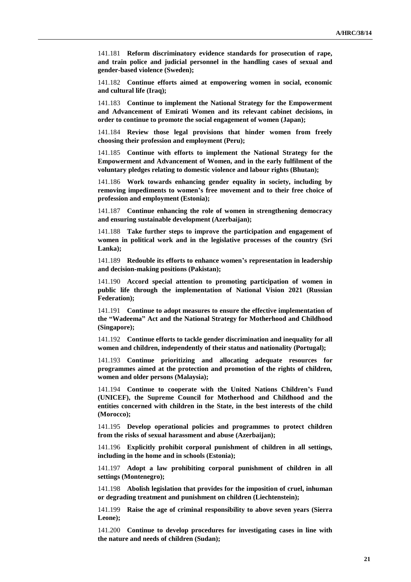141.181 **Reform discriminatory evidence standards for prosecution of rape, and train police and judicial personnel in the handling cases of sexual and gender-based violence (Sweden);**

141.182 **Continue efforts aimed at empowering women in social, economic and cultural life (Iraq);**

141.183 **Continue to implement the National Strategy for the Empowerment and Advancement of Emirati Women and its relevant cabinet decisions, in order to continue to promote the social engagement of women (Japan);**

141.184 **Review those legal provisions that hinder women from freely choosing their profession and employment (Peru);**

141.185 **Continue with efforts to implement the National Strategy for the Empowerment and Advancement of Women, and in the early fulfilment of the voluntary pledges relating to domestic violence and labour rights (Bhutan);**

141.186 **Work towards enhancing gender equality in society, including by removing impediments to women's free movement and to their free choice of profession and employment (Estonia);**

141.187 **Continue enhancing the role of women in strengthening democracy and ensuring sustainable development (Azerbaijan);**

141.188 **Take further steps to improve the participation and engagement of women in political work and in the legislative processes of the country (Sri Lanka);**

141.189 **Redouble its efforts to enhance women's representation in leadership and decision-making positions (Pakistan);**

141.190 **Accord special attention to promoting participation of women in public life through the implementation of National Vision 2021 (Russian Federation);**

141.191 **Continue to adopt measures to ensure the effective implementation of the "Wadeema" Act and the National Strategy for Motherhood and Childhood (Singapore);**

141.192 **Continue efforts to tackle gender discrimination and inequality for all women and children, independently of their status and nationality (Portugal);**

141.193 **Continue prioritizing and allocating adequate resources for programmes aimed at the protection and promotion of the rights of children, women and older persons (Malaysia);**

141.194 **Continue to cooperate with the United Nations Children's Fund (UNICEF), the Supreme Council for Motherhood and Childhood and the entities concerned with children in the State, in the best interests of the child (Morocco);**

141.195 **Develop operational policies and programmes to protect children from the risks of sexual harassment and abuse (Azerbaijan);**

141.196 **Explicitly prohibit corporal punishment of children in all settings, including in the home and in schools (Estonia);**

141.197 **Adopt a law prohibiting corporal punishment of children in all settings (Montenegro);**

141.198 **Abolish legislation that provides for the imposition of cruel, inhuman or degrading treatment and punishment on children (Liechtenstein);**

141.199 **Raise the age of criminal responsibility to above seven years (Sierra Leone);**

141.200 **Continue to develop procedures for investigating cases in line with the nature and needs of children (Sudan);**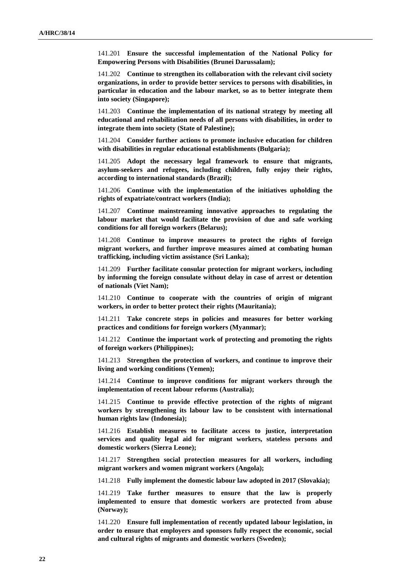141.201 **Ensure the successful implementation of the National Policy for Empowering Persons with Disabilities (Brunei Darussalam);**

141.202 **Continue to strengthen its collaboration with the relevant civil society organizations, in order to provide better services to persons with disabilities, in particular in education and the labour market, so as to better integrate them into society (Singapore);**

141.203 **Continue the implementation of its national strategy by meeting all educational and rehabilitation needs of all persons with disabilities, in order to integrate them into society (State of Palestine);**

141.204 **Consider further actions to promote inclusive education for children with disabilities in regular educational establishments (Bulgaria);**

141.205 **Adopt the necessary legal framework to ensure that migrants, asylum-seekers and refugees, including children, fully enjoy their rights, according to international standards (Brazil);**

141.206 **Continue with the implementation of the initiatives upholding the rights of expatriate/contract workers (India);**

141.207 **Continue mainstreaming innovative approaches to regulating the labour market that would facilitate the provision of due and safe working conditions for all foreign workers (Belarus);**

141.208 **Continue to improve measures to protect the rights of foreign migrant workers, and further improve measures aimed at combating human trafficking, including victim assistance (Sri Lanka);**

141.209 **Further facilitate consular protection for migrant workers, including by informing the foreign consulate without delay in case of arrest or detention of nationals (Viet Nam);**

141.210 **Continue to cooperate with the countries of origin of migrant workers, in order to better protect their rights (Mauritania);**

141.211 **Take concrete steps in policies and measures for better working practices and conditions for foreign workers (Myanmar);**

141.212 **Continue the important work of protecting and promoting the rights of foreign workers (Philippines);**

141.213 **Strengthen the protection of workers, and continue to improve their living and working conditions (Yemen);**

141.214 **Continue to improve conditions for migrant workers through the implementation of recent labour reforms (Australia);**

141.215 **Continue to provide effective protection of the rights of migrant workers by strengthening its labour law to be consistent with international human rights law (Indonesia);**

141.216 **Establish measures to facilitate access to justice, interpretation services and quality legal aid for migrant workers, stateless persons and domestic workers (Sierra Leone);**

141.217 **Strengthen social protection measures for all workers, including migrant workers and women migrant workers (Angola);**

141.218 **Fully implement the domestic labour law adopted in 2017 (Slovakia);**

141.219 **Take further measures to ensure that the law is properly implemented to ensure that domestic workers are protected from abuse (Norway);**

141.220 **Ensure full implementation of recently updated labour legislation, in order to ensure that employers and sponsors fully respect the economic, social and cultural rights of migrants and domestic workers (Sweden);**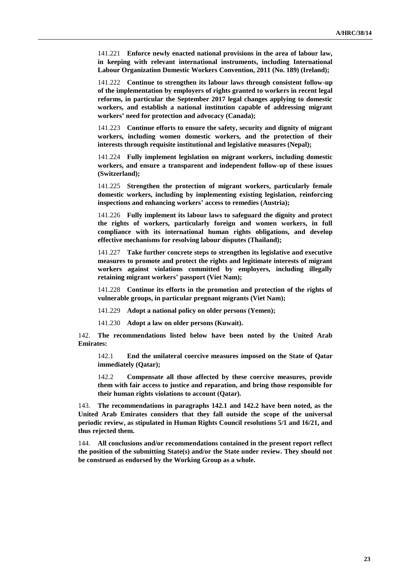141.221 **Enforce newly enacted national provisions in the area of labour law, in keeping with relevant international instruments, including International Labour Organization Domestic Workers Convention, 2011 (No. 189) (Ireland);**

141.222 **Continue to strengthen its labour laws through consistent follow-up of the implementation by employers of rights granted to workers in recent legal reforms, in particular the September 2017 legal changes applying to domestic workers, and establish a national institution capable of addressing migrant workers' need for protection and advocacy (Canada);**

141.223 **Continue efforts to ensure the safety, security and dignity of migrant workers, including women domestic workers, and the protection of their interests through requisite institutional and legislative measures (Nepal);**

141.224 **Fully implement legislation on migrant workers, including domestic workers, and ensure a transparent and independent follow-up of these issues (Switzerland);**

141.225 **Strengthen the protection of migrant workers, particularly female domestic workers, including by implementing existing legislation, reinforcing inspections and enhancing workers' access to remedies (Austria);**

141.226 **Fully implement its labour laws to safeguard the dignity and protect the rights of workers, particularly foreign and women workers, in full compliance with its international human rights obligations, and develop effective mechanisms for resolving labour disputes (Thailand);**

141.227 **Take further concrete steps to strengthen its legislative and executive measures to promote and protect the rights and legitimate interests of migrant workers against violations committed by employers, including illegally retaining migrant workers' passport (Viet Nam);**

141.228 **Continue its efforts in the promotion and protection of the rights of vulnerable groups, in particular pregnant migrants (Viet Nam);**

141.229 **Adopt a national policy on older persons (Yemen);**

141.230 **Adopt a law on older persons (Kuwait).** 

142. **The recommendations listed below have been noted by the United Arab Emirates:**

142.1 **End the unilateral coercive measures imposed on the State of Qatar immediately (Qatar);**

142.2 **Compensate all those affected by these coercive measures, provide them with fair access to justice and reparation, and bring those responsible for their human rights violations to account (Qatar).**

143. **The recommendations in paragraphs 142.1 and 142.2 have been noted, as the United Arab Emirates considers that they fall outside the scope of the universal periodic review, as stipulated in Human Rights Council resolutions 5/1 and 16/21, and thus rejected them.**

144. **All conclusions and/or recommendations contained in the present report reflect the position of the submitting State(s) and/or the State under review. They should not be construed as endorsed by the Working Group as a whole.**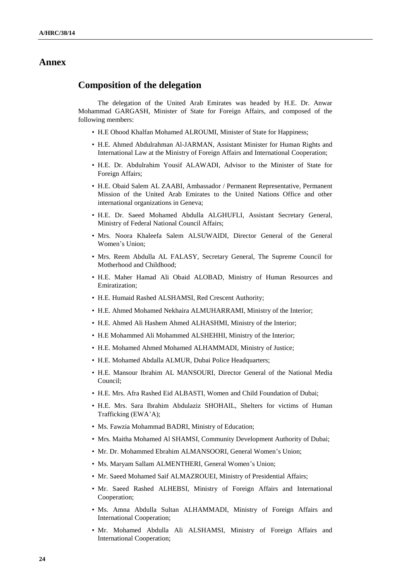#### **Annex**

### **Composition of the delegation**

The delegation of the United Arab Emirates was headed by H.E. Dr. Anwar Mohammad GARGASH, Minister of State for Foreign Affairs, and composed of the following members:

- H.E Ohood Khalfan Mohamed ALROUMI, Minister of State for Happiness;
- H.E. Ahmed Abdulrahman Al-JARMAN, Assistant Minister for Human Rights and International Law at the Ministry of Foreign Affairs and International Cooperation;
- H.E. Dr. Abdulrahim Yousif ALAWADI, Advisor to the Minister of State for Foreign Affairs;
- H.E. Obaid Salem AL ZAABI, Ambassador / Permanent Representative, Permanent Mission of the United Arab Emirates to the United Nations Office and other international organizations in Geneva;
- H.E. Dr. Saeed Mohamed Abdulla ALGHUFLI, Assistant Secretary General, Ministry of Federal National Council Affairs;
- Mrs. Noora Khaleefa Salem ALSUWAIDI, Director General of the General Women's Union;
- Mrs. Reem Abdulla AL FALASY, Secretary General, The Supreme Council for Motherhood and Childhood;
- H.E. Maher Hamad Ali Obaid ALOBAD, Ministry of Human Resources and Emiratization;
- H.E. Humaid Rashed ALSHAMSI, Red Crescent Authority;
- H.E. Ahmed Mohamed Nekhaira ALMUHARRAMI, Ministry of the Interior;
- H.E. Ahmed Ali Hashem Ahmed ALHASHMI, Ministry of the Interior;
- H.E Mohammed Ali Mohammed ALSHEHHI, Ministry of the Interior;
- H.E. Mohamed Ahmed Mohamed ALHAMMADI, Ministry of Justice;
- H.E. Mohamed Abdalla ALMUR, Dubai Police Headquarters;
- H.E. Mansour Ibrahim AL MANSOURI, Director General of the National Media Council;
- H.E. Mrs. Afra Rashed Eid ALBASTI, Women and Child Foundation of Dubai;
- H.E. Mrs. Sara Ibrahim Abdulaziz SHOHAIL, Shelters for victims of Human Trafficking (EWA'A);
- Ms. Fawzia Mohammad BADRI, Ministry of Education;
- Mrs. Maitha Mohamed Al SHAMSI, Community Development Authority of Dubai;
- Mr. Dr. Mohammed Ebrahim ALMANSOORI, General Women's Union;
- Ms. Maryam Sallam ALMENTHERI, General Women's Union;
- Mr. Saeed Mohamed Saif ALMAZROUEI, Ministry of Presidential Affairs;
- Mr. Saeed Rashed ALHEBSI, Ministry of Foreign Affairs and International Cooperation;
- Ms. Amna Abdulla Sultan ALHAMMADI, Ministry of Foreign Affairs and International Cooperation;
- Mr. Mohamed Abdulla Ali ALSHAMSI, Ministry of Foreign Affairs and International Cooperation;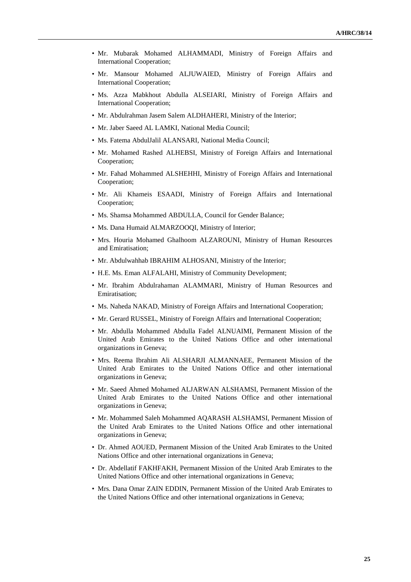- Mr. Mubarak Mohamed ALHAMMADI, Ministry of Foreign Affairs and International Cooperation;
- Mr. Mansour Mohamed ALJUWAIED, Ministry of Foreign Affairs and International Cooperation;
- Ms. Azza Mabkhout Abdulla ALSEIARI, Ministry of Foreign Affairs and International Cooperation;
- Mr. Abdulrahman Jasem Salem ALDHAHERI, Ministry of the Interior;
- Mr. Jaber Saeed AL LAMKI, National Media Council;
- Ms. Fatema AbdulJalil ALANSARI, National Media Council;
- Mr. Mohamed Rashed ALHEBSI, Ministry of Foreign Affairs and International Cooperation;
- Mr. Fahad Mohammed ALSHEHHI, Ministry of Foreign Affairs and International Cooperation;
- Mr. Ali Khameis ESAADI, Ministry of Foreign Affairs and International Cooperation;
- Ms. Shamsa Mohammed ABDULLA, Council for Gender Balance;
- Ms. Dana Humaid ALMARZOOQI, Ministry of Interior;
- Mrs. Houria Mohamed Ghalhoom ALZAROUNI, Ministry of Human Resources and Emiratisation;
- Mr. Abdulwahhab IBRAHIM ALHOSANI, Ministry of the Interior;
- H.E. Ms. Eman ALFALAHI, Ministry of Community Development;
- Mr. Ibrahim Abdulrahaman ALAMMARI, Ministry of Human Resources and Emiratisation;
- Ms. Naheda NAKAD, Ministry of Foreign Affairs and International Cooperation;
- Mr. Gerard RUSSEL, Ministry of Foreign Affairs and International Cooperation;
- Mr. Abdulla Mohammed Abdulla Fadel ALNUAIMI, Permanent Mission of the United Arab Emirates to the United Nations Office and other international organizations in Geneva;
- Mrs. Reema Ibrahim Ali ALSHARJI ALMANNAEE, Permanent Mission of the United Arab Emirates to the United Nations Office and other international organizations in Geneva;
- Mr. Saeed Ahmed Mohamed ALJARWAN ALSHAMSI, Permanent Mission of the United Arab Emirates to the United Nations Office and other international organizations in Geneva;
- Mr. Mohammed Saleh Mohammed AQARASH ALSHAMSI, Permanent Mission of the United Arab Emirates to the United Nations Office and other international organizations in Geneva;
- Dr. Ahmed AOUED, Permanent Mission of the United Arab Emirates to the United Nations Office and other international organizations in Geneva;
- Dr. Abdellatif FAKHFAKH, Permanent Mission of the United Arab Emirates to the United Nations Office and other international organizations in Geneva;
- Mrs. Dana Omar ZAIN EDDIN, Permanent Mission of the United Arab Emirates to the United Nations Office and other international organizations in Geneva;